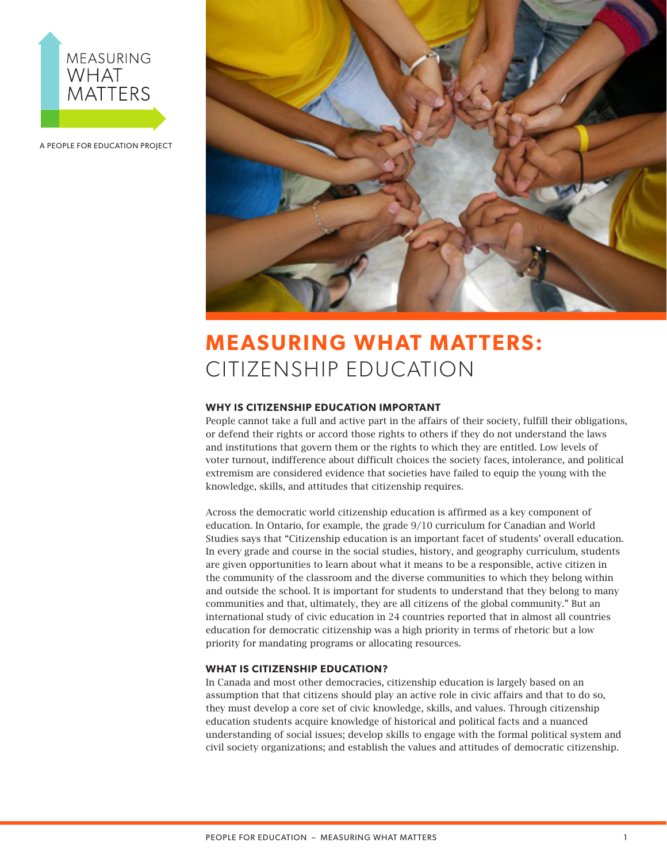

A PEOPLE FOR EDUCATION PROJECT



# **MEASURING WHAT MATTERS:** CITIZENSHIP EDUCATION

## **WHY IS CITIZENSHIP EDUCATION IMPORTANT**

People cannot take a full and active part in the affairs of their society, fulfill their obligations, or defend their rights or accord those rights to others if they do not understand the laws and institutions that govern them or the rights to which they are entitled. Low levels of voter turnout, indifference about difficult choices the society faces, intolerance, and political extremism are considered evidence that societies have failed to equip the young with the knowledge, skills, and attitudes that citizenship requires.

Across the democratic world citizenship education is affirmed as a key component of education. In Ontario, for example, the grade 9/10 curriculum for Canadian and World Studies says that "Citizenship education is an important facet of students' overall education. In every grade and course in the social studies, history, and geography curriculum, students are given opportunities to learn about what it means to be a responsible, active citizen in the community of the classroom and the diverse communities to which they belong within and outside the school. It is important for students to understand that they belong to many communities and that, ultimately, they are all citizens of the global community." But an international study of civic education in 24 countries reported that in almost all countries education for democratic citizenship was a high priority in terms of rhetoric but a low priority for mandating programs or allocating resources.

## **WHAT IS CITIZENSHIP EDUCATION?**

In Canada and most other democracies, citizenship education is largely based on an assumption that that citizens should play an active role in civic affairs and that to do so, they must develop a core set of civic knowledge, skills, and values. Through citizenship education students acquire knowledge of historical and political facts and a nuanced understanding of social issues; develop skills to engage with the formal political system and civil society organizations; and establish the values and attitudes of democratic citizenship.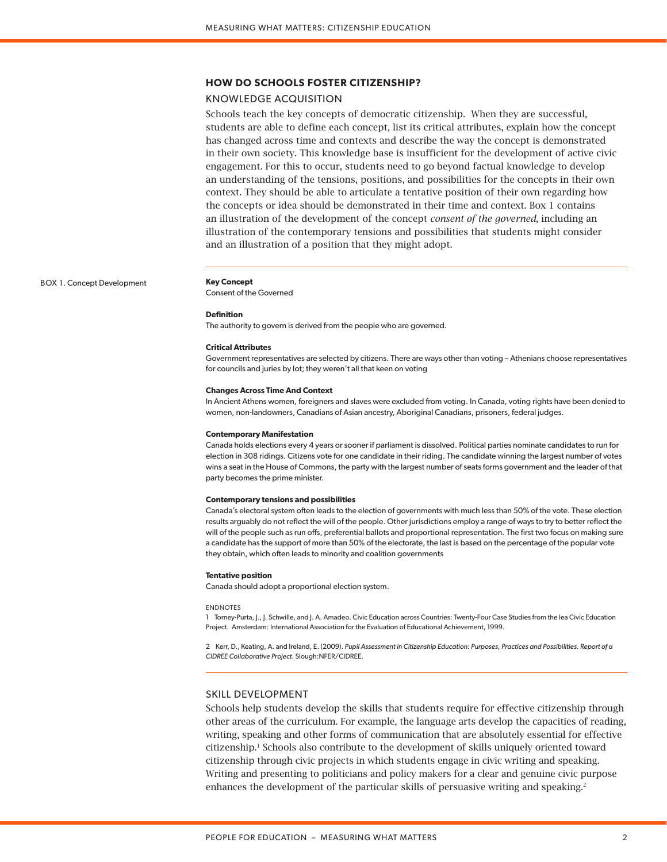## **HOW DO SCHOOLS FOSTER CITIZENSHIP?**

## KNOWLEDGE ACQUISITION

Schools teach the key concepts of democratic citizenship. When they are successful, students are able to define each concept, list its critical attributes, explain how the concept has changed across time and contexts and describe the way the concept is demonstrated in their own society. This knowledge base is insufficient for the development of active civic engagement. For this to occur, students need to go beyond factual knowledge to develop an understanding of the tensions, positions, and possibilities for the concepts in their own context. They should be able to articulate a tentative position of their own regarding how the concepts or idea should be demonstrated in their time and context. Box 1 contains an illustration of the development of the concept *consent of the governed*, including an illustration of the contemporary tensions and possibilities that students might consider and an illustration of a position that they might adopt.

BOX 1. Concept Development **Key Concept**

Consent of the Governed

#### **Definition**

The authority to govern is derived from the people who are governed.

#### **Critical Attributes**

Government representatives are selected by citizens. There are ways other than voting – Athenians choose representatives for councils and juries by lot; they weren't all that keen on voting

#### **Changes Across Time And Context**

In Ancient Athens women, foreigners and slaves were excluded from voting. In Canada, voting rights have been denied to women, non-landowners, Canadians of Asian ancestry, Aboriginal Canadians, prisoners, federal judges.

#### **Contemporary Manifestation**

Canada holds elections every 4 years or sooner if parliament is dissolved. Political parties nominate candidates to run for election in 308 ridings. Citizens vote for one candidate in their riding. The candidate winning the largest number of votes wins a seat in the House of Commons, the party with the largest number of seats forms government and the leader of that party becomes the prime minister.

#### **Contemporary tensions and possibilities**

Canada's electoral system often leads to the election of governments with much less than 50% of the vote. These election results arguably do not reflect the will of the people. Other jurisdictions employ a range of ways to try to better reflect the will of the people such as run offs, preferential ballots and proportional representation. The first two focus on making sure a candidate has the support of more than 50% of the electorate, the last is based on the percentage of the popular vote they obtain, which often leads to minority and coalition governments

#### **Tentative position**

Canada should adopt a proportional election system.

#### ENDNOTES

1 Torney-Purta, J., J. Schwille, and J. A. Amadeo. Civic Education across Countries: Twenty-Four Case Studies from the Iea Civic Education Project. Amsterdam: International Association for the Evaluation of Educational Achievement, 1999.

2 Kerr, D., Keating, A. and Ireland, E. (2009). *Pupil Assessment in Citizenship Education: Purposes, Practices and Possibilities. Report of a CIDREE Collaborative Project*. Slough:NFER/CIDREE.

## SKILL DEVELOPMENT

Schools help students develop the skills that students require for effective citizenship through other areas of the curriculum. For example, the language arts develop the capacities of reading, writing, speaking and other forms of communication that are absolutely essential for effective citizenship.1 Schools also contribute to the development of skills uniquely oriented toward citizenship through civic projects in which students engage in civic writing and speaking. Writing and presenting to politicians and policy makers for a clear and genuine civic purpose enhances the development of the particular skills of persuasive writing and speaking.<sup>2</sup>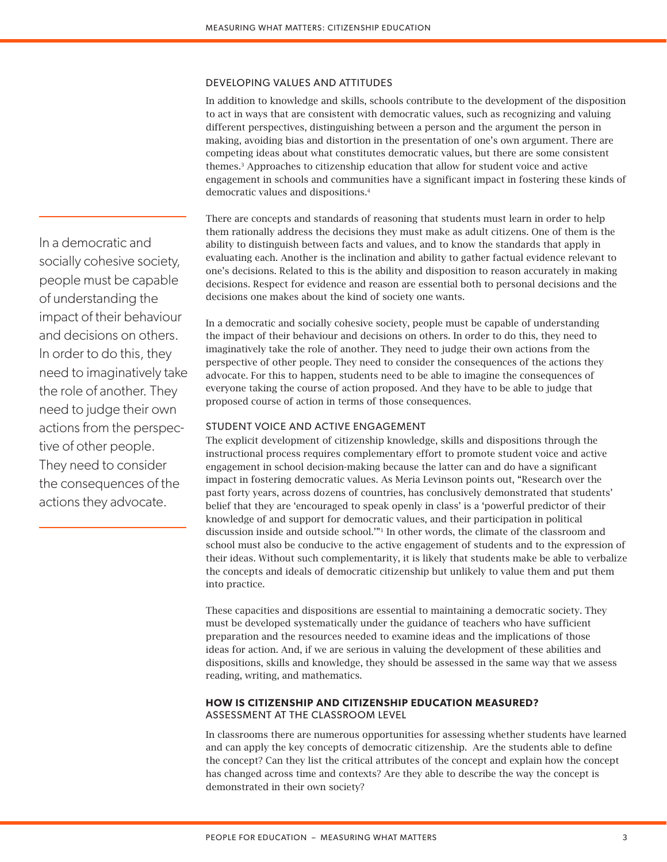## DEVELOPING VALUES AND ATTITUDES

In addition to knowledge and skills, schools contribute to the development of the disposition to act in ways that are consistent with democratic values, such as recognizing and valuing different perspectives, distinguishing between a person and the argument the person in making, avoiding bias and distortion in the presentation of one's own argument. There are competing ideas about what constitutes democratic values, but there are some consistent themes.3 Approaches to citizenship education that allow for student voice and active engagement in schools and communities have a significant impact in fostering these kinds of democratic values and dispositions.4

There are concepts and standards of reasoning that students must learn in order to help them rationally address the decisions they must make as adult citizens. One of them is the ability to distinguish between facts and values, and to know the standards that apply in evaluating each. Another is the inclination and ability to gather factual evidence relevant to one's decisions. Related to this is the ability and disposition to reason accurately in making decisions. Respect for evidence and reason are essential both to personal decisions and the decisions one makes about the kind of society one wants.

In a democratic and socially cohesive society, people must be capable of understanding the impact of their behaviour and decisions on others. In order to do this, they need to imaginatively take the role of another. They need to judge their own actions from the perspective of other people. They need to consider the consequences of the actions they advocate. For this to happen, students need to be able to imagine the consequences of everyone taking the course of action proposed. And they have to be able to judge that proposed course of action in terms of those consequences.

## STUDENT VOICE AND ACTIVE ENGAGEMENT

The explicit development of citizenship knowledge, skills and dispositions through the instructional process requires complementary effort to promote student voice and active engagement in school decision-making because the latter can and do have a significant impact in fostering democratic values. As Meria Levinson points out, "Research over the past forty years, across dozens of countries, has conclusively demonstrated that students' belief that they are 'encouraged to speak openly in class' is a 'powerful predictor of their knowledge of and support for democratic values, and their participation in political discussion inside and outside school.'"1 In other words, the climate of the classroom and school must also be conducive to the active engagement of students and to the expression of their ideas. Without such complementarity, it is likely that students make be able to verbalize the concepts and ideals of democratic citizenship but unlikely to value them and put them into practice.

These capacities and dispositions are essential to maintaining a democratic society. They must be developed systematically under the guidance of teachers who have sufficient preparation and the resources needed to examine ideas and the implications of those ideas for action. And, if we are serious in valuing the development of these abilities and dispositions, skills and knowledge, they should be assessed in the same way that we assess reading, writing, and mathematics.

## **HOW IS CITIZENSHIP AND CITIZENSHIP EDUCATION MEASURED?** ASSESSMENT AT THE CLASSROOM LEVEL

In classrooms there are numerous opportunities for assessing whether students have learned and can apply the key concepts of democratic citizenship. Are the students able to define the concept? Can they list the critical attributes of the concept and explain how the concept has changed across time and contexts? Are they able to describe the way the concept is demonstrated in their own society?

In a democratic and socially cohesive society, people must be capable of understanding the impact of their behaviour and decisions on others. In order to do this, they need to imaginatively take the role of another. They need to judge their own actions from the perspective of other people. They need to consider the consequences of the actions they advocate.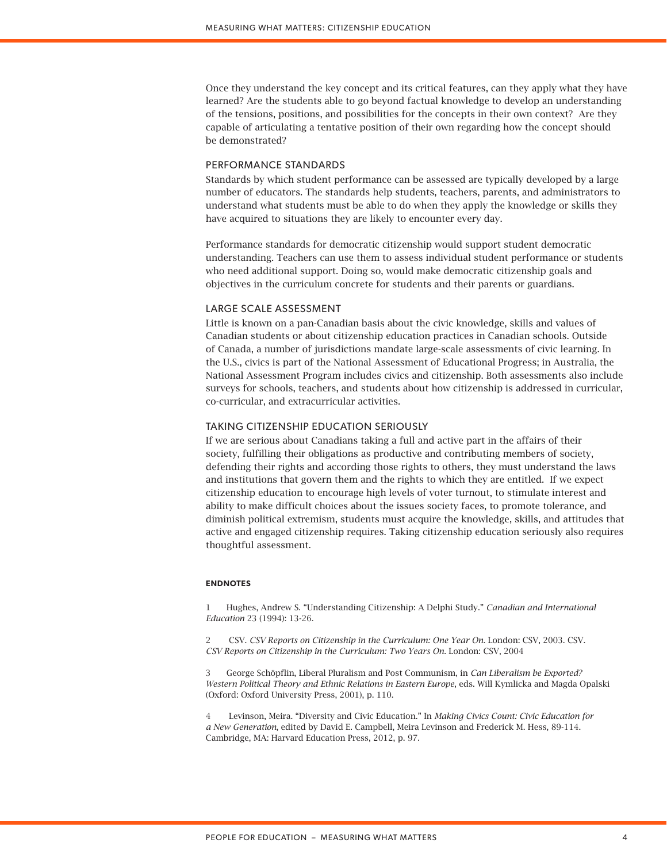Once they understand the key concept and its critical features, can they apply what they have learned? Are the students able to go beyond factual knowledge to develop an understanding of the tensions, positions, and possibilities for the concepts in their own context? Are they capable of articulating a tentative position of their own regarding how the concept should be demonstrated?

## PERFORMANCE STANDARDS

Standards by which student performance can be assessed are typically developed by a large number of educators. The standards help students, teachers, parents, and administrators to understand what students must be able to do when they apply the knowledge or skills they have acquired to situations they are likely to encounter every day.

Performance standards for democratic citizenship would support student democratic understanding. Teachers can use them to assess individual student performance or students who need additional support. Doing so, would make democratic citizenship goals and objectives in the curriculum concrete for students and their parents or guardians.

### LARGE SCALE ASSESSMENT

Little is known on a pan-Canadian basis about the civic knowledge, skills and values of Canadian students or about citizenship education practices in Canadian schools. Outside of Canada, a number of jurisdictions mandate large-scale assessments of civic learning. In the U.S., civics is part of the National Assessment of Educational Progress; in Australia, the National Assessment Program includes civics and citizenship. Both assessments also include surveys for schools, teachers, and students about how citizenship is addressed in curricular, co-curricular, and extracurricular activities.

## TAKING CITIZENSHIP EDUCATION SERIOUSLY

If we are serious about Canadians taking a full and active part in the affairs of their society, fulfilling their obligations as productive and contributing members of society, defending their rights and according those rights to others, they must understand the laws and institutions that govern them and the rights to which they are entitled. If we expect citizenship education to encourage high levels of voter turnout, to stimulate interest and ability to make difficult choices about the issues society faces, to promote tolerance, and diminish political extremism, students must acquire the knowledge, skills, and attitudes that active and engaged citizenship requires. Taking citizenship education seriously also requires thoughtful assessment.

## **ENDNOTES**

1 Hughes, Andrew S. "Understanding Citizenship: A Delphi Study." *Canadian and International Education* 23 (1994): 13-26.

2 CSV. *CSV Reports on Citizenship in the Curriculum: One Year On*. London: CSV, 2003. CSV. *CSV Reports on Citizenship in the Curriculum: Two Years On*. London: CSV, 2004

3 George Schöpflin, Liberal Pluralism and Post Communism, in *Can Liberalism be Exported? Western Political Theory and Ethnic Relations in Eastern Europe*, eds. Will Kymlicka and Magda Opalski (Oxford: Oxford University Press, 2001), p. 110.

4 Levinson, Meira. "Diversity and Civic Education." In *Making Civics Count: Civic Education for a New Generation*, edited by David E. Campbell, Meira Levinson and Frederick M. Hess, 89-114. Cambridge, MA: Harvard Education Press, 2012, p. 97.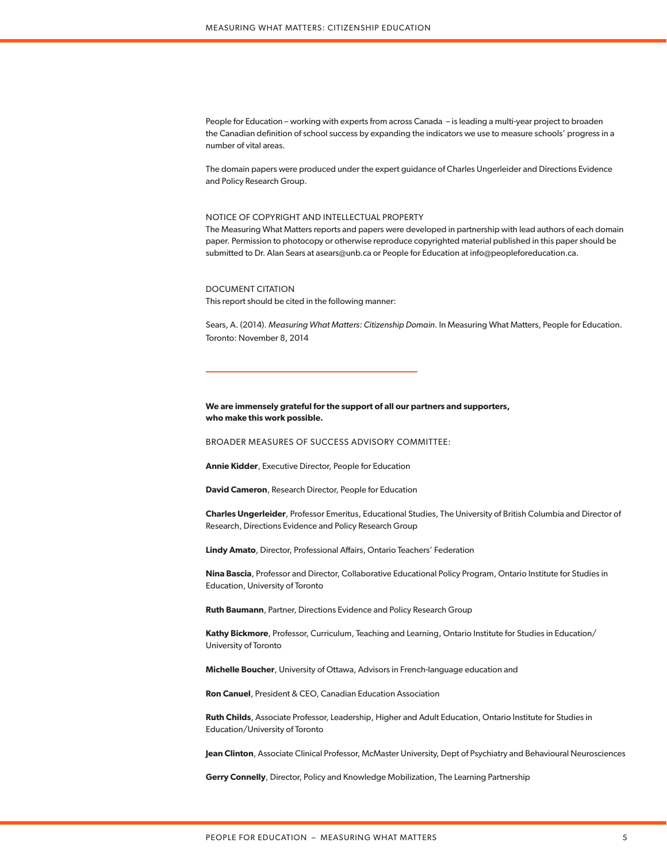People for Education – working with experts from across Canada – is leading a multi-year project to broaden the Canadian definition of school success by expanding the indicators we use to measure schools' progress in a number of vital areas.

The domain papers were produced under the expert guidance of Charles Ungerleider and Directions Evidence and Policy Research Group.

### NOTICE OF COPYRIGHT AND INTELLECTUAL PROPERTY

The Measuring What Matters reports and papers were developed in partnership with lead authors of each domain paper. Permission to photocopy or otherwise reproduce copyrighted material published in this paper should be submitted to Dr. Alan Sears at asears@unb.ca or People for Education at info@peopleforeducation.ca.

DOCUMENT CITATION This report should be cited in the following manner:

Sears, A. (2014). *Measuring What Matters: Citizenship Domain*. In Measuring What Matters, People for Education. Toronto: November 8, 2014

## **We are immensely grateful for the support of all our partners and supporters, who make this work possible.**

BROADER MEASURES OF SUCCESS ADVISORY COMMITTEE:

**Annie Kidder**, Executive Director, People for Education

**David Cameron**, Research Director, People for Education

**Charles Ungerleider**, Professor Emeritus, Educational Studies, The University of British Columbia and Director of Research, Directions Evidence and Policy Research Group

**Lindy Amato**, Director, Professional Affairs, Ontario Teachers' Federation

**Nina Bascia**, Professor and Director, Collaborative Educational Policy Program, Ontario Institute for Studies in Education, University of Toronto

**Ruth Baumann**, Partner, Directions Evidence and Policy Research Group

**Kathy Bickmore**, Professor, Curriculum, Teaching and Learning, Ontario Institute for Studies in Education/ University of Toronto

**Michelle Boucher**, University of Ottawa, Advisors in French-language education and

**Ron Canuel**, President & CEO, Canadian Education Association

**Ruth Childs**, Associate Professor, Leadership, Higher and Adult Education, Ontario Institute for Studies in Education/University of Toronto

**Jean Clinton**, Associate Clinical Professor, McMaster University, Dept of Psychiatry and Behavioural Neurosciences

**Gerry Connelly**, Director, Policy and Knowledge Mobilization, The Learning Partnership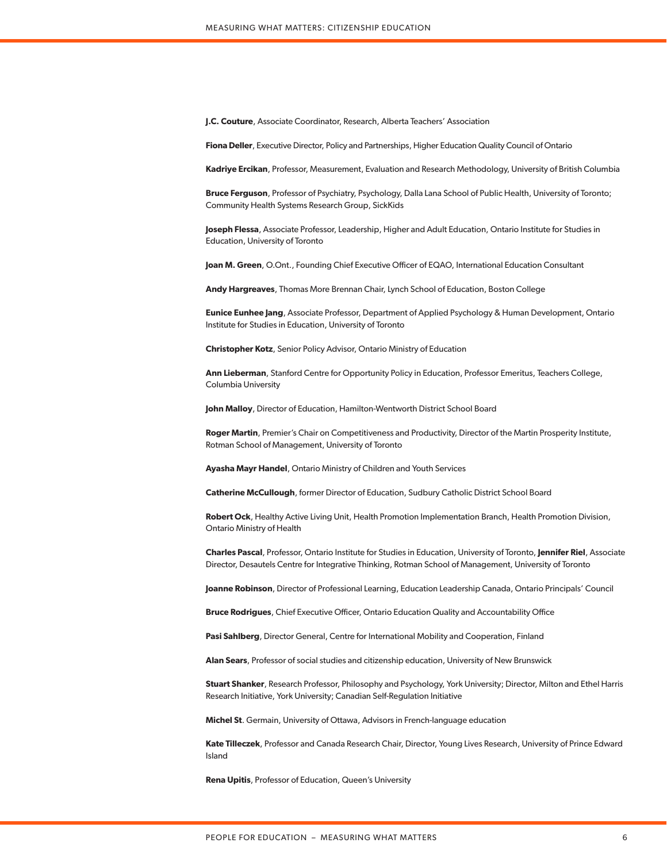**J.C. Couture**, Associate Coordinator, Research, Alberta Teachers' Association

**Fiona Deller**, Executive Director, Policy and Partnerships, Higher Education Quality Council of Ontario

**Kadriye Ercikan**, Professor, Measurement, Evaluation and Research Methodology, University of British Columbia

**Bruce Ferguson**, Professor of Psychiatry, Psychology, Dalla Lana School of Public Health, University of Toronto; Community Health Systems Research Group, SickKids

**Joseph Flessa**, Associate Professor, Leadership, Higher and Adult Education, Ontario Institute for Studies in Education, University of Toronto

**Joan M. Green**, O.Ont., Founding Chief Executive Officer of EQAO, International Education Consultant

**Andy Hargreaves**, Thomas More Brennan Chair, Lynch School of Education, Boston College

**Eunice Eunhee Jang**, Associate Professor, Department of Applied Psychology & Human Development, Ontario Institute for Studies in Education, University of Toronto

**Christopher Kotz**, Senior Policy Advisor, Ontario Ministry of Education

**Ann Lieberman**, Stanford Centre for Opportunity Policy in Education, Professor Emeritus, Teachers College, Columbia University

**John Malloy**, Director of Education, Hamilton-Wentworth District School Board

**Roger Martin**, Premier's Chair on Competitiveness and Productivity, Director of the Martin Prosperity Institute, Rotman School of Management, University of Toronto

**Ayasha Mayr Handel**, Ontario Ministry of Children and Youth Services

**Catherine McCullough**, former Director of Education, Sudbury Catholic District School Board

**Robert Ock**, Healthy Active Living Unit, Health Promotion Implementation Branch, Health Promotion Division, Ontario Ministry of Health

**Charles Pascal**, Professor, Ontario Institute for Studies in Education, University of Toronto, **Jennifer Riel**, Associate Director, Desautels Centre for Integrative Thinking, Rotman School of Management, University of Toronto

**Joanne Robinson**, Director of Professional Learning, Education Leadership Canada, Ontario Principals' Council

**Bruce Rodrigues**, Chief Executive Officer, Ontario Education Quality and Accountability Office

**Pasi Sahlberg**, Director General, Centre for International Mobility and Cooperation, Finland

**Alan Sears**, Professor of social studies and citizenship education, University of New Brunswick

**Stuart Shanker**, Research Professor, Philosophy and Psychology, York University; Director, Milton and Ethel Harris Research Initiative, York University; Canadian Self-Regulation Initiative

**Michel St**. Germain, University of Ottawa, Advisors in French-language education

**Kate Tilleczek**, Professor and Canada Research Chair, Director, Young Lives Research, University of Prince Edward Island

**Rena Upitis**, Professor of Education, Queen's University